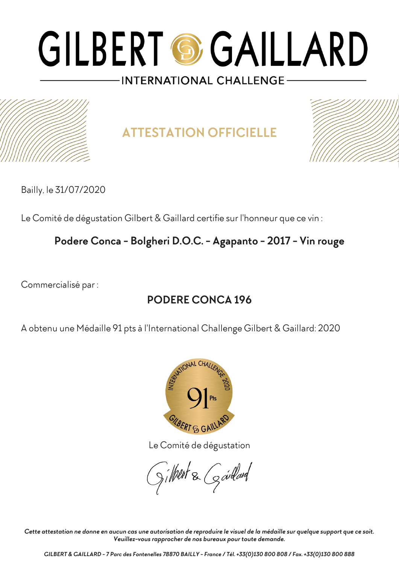

**ATTESTATION OFFICIELLE**



Bailly, le 31/07/2020

Le Comité de dégustation Gilbert & Gaillard certifie sur l'honneur que ce vin :

#### **Podere Conca - Bolgheri D.O.C. - Agapanto - 2017 - Vin rouge**

Commercialisé par :

### **PODERE CONCA 196**

A obtenu une Médaille 91 pts à l'International Challenge Gilbert & Gaillard: 2020



Le Comité de dégustation

Silheut & Goullard

*Cette attestation ne donne en aucun cas une autorisation de reproduire le visuel de la médaille sur quelque support que ce soit. Veuillez-vous rapprocher de nos bureaux pour toute demande.*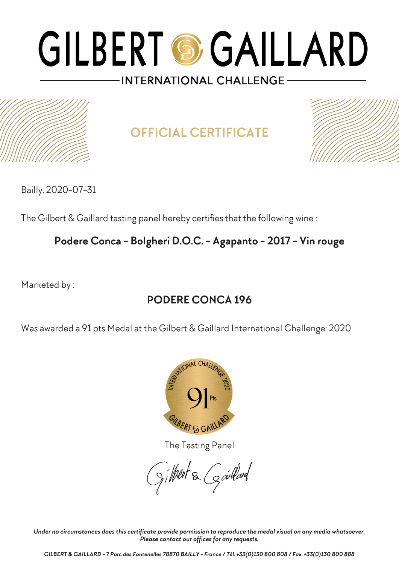

# **OFFICIAL CERTIFICATE**



Bailly, 2020-07-31

The Gilbert & Gaillard tasting panel hereby certifies that the following wine :

### **Podere Conca - Bolgheri D.O.C. - Agapanto - 2017 - Vin rouge**

Marketed by :

### **PODERE CONCA 196**

Was awarded a 91 pts Medal at the Gilbert & Gaillard International Challenge: 2020



The Tasting Panel

Jilkut & Gardard

*Under no circumstances does this certificate provide permission to reproduce the medal visual on any media whatsoever. Please contact our offices for any requests.*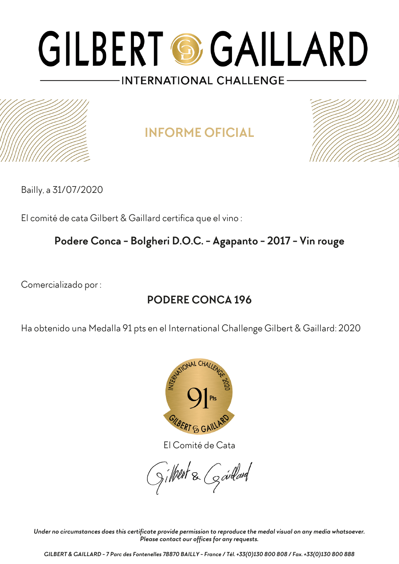## **INFORME OFICIAL**



Bailly, a 31/07/2020

El comité de cata Gilbert & Gaillard certifica que el vino :

**Podere Conca - Bolgheri D.O.C. - Agapanto - 2017 - Vin rouge**

Comercializado por :

### **PODERE CONCA 196**

Ha obtenido una Medalla 91 pts en el International Challenge Gilbert & Gaillard: 2020



El Comité de Cata

Jilkut & Gardard

*Under no circumstances does this certificate provide permission to reproduce the medal visual on any media whatsoever. Please contact our offices for any requests.*